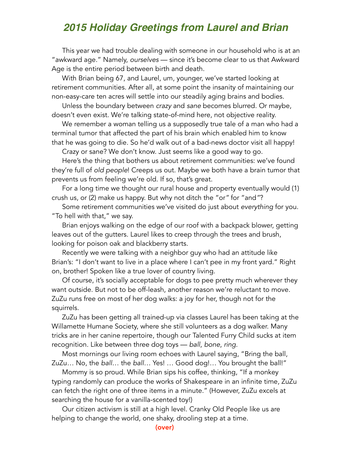## *2015 Holiday Greetings from Laurel and Brian*

This year we had trouble dealing with someone in our household who is at an "awkward age." Namely, *ourselves* — since it's become clear to us that Awkward Age is the entire period between birth and death.

With Brian being 67, and Laurel, um, younger, we've started looking at retirement communities. After all, at some point the insanity of maintaining our non-easy-care ten acres will settle into our steadily aging brains and bodies.

Unless the boundary between *crazy* and *sane* becomes blurred. Or maybe, doesn't even exist. We're talking state-of-mind here, not objective reality.

We remember a woman telling us a supposedly true tale of a man who had a terminal tumor that affected the part of his brain which enabled him to know that he was going to die. So he'd walk out of a bad-news doctor visit all happy!

Crazy or sane? We don't know. Just seems like a good way to go.

Here's the thing that bothers us about retirement communities: we've found they're full of *old people*! Creeps us out. Maybe we both have a brain tumor that prevents us from feeling we're old. If so, that's great.

For a long time we thought our rural house and property eventually would (1) crush us, or (2) make us happy. But why not ditch the "or*"* for "and*"*?

Some retirement communities we've visited do just about *everything* for you. "To hell with that," we say.

Brian enjoys walking on the edge of our roof with a backpack blower, getting leaves out of the gutters. Laurel likes to creep through the trees and brush, looking for poison oak and blackberry starts.

Recently we were talking with a neighbor guy who had an attitude like Brian's: "I don't want to live in a place where I can't pee in my front yard." Right on, brother! Spoken like a true lover of country living.

Of course, it's socially acceptable for dogs to pee pretty much wherever they want outside. But not to be off-leash, another reason we're reluctant to move. ZuZu runs free on most of her dog walks: a joy for her, though not for the squirrels.

ZuZu has been getting all trained-up via classes Laurel has been taking at the Willamette Humane Society, where she still volunteers as a dog walker. Many tricks are in her canine repertoire, though our Talented Furry Child sucks at item recognition. Like between three dog toys — *ball*, *bone*, *ring*.

Most mornings our living room echoes with Laurel saying, "Bring the ball, ZuZu… No, the *ball*… the *ball*… Yes! … Good dog!… You brought the ball!"

Mommy is so proud. While Brian sips his coffee, thinking, "If a monkey typing randomly can produce the works of Shakespeare in an infinite time, ZuZu can fetch the right one of three items in a minute." (However, ZuZu excels at searching the house for a vanilla-scented toy!)

Our citizen activism is still at a high level. Cranky Old People like us are helping to change the world, one shaky, drooling step at a time.